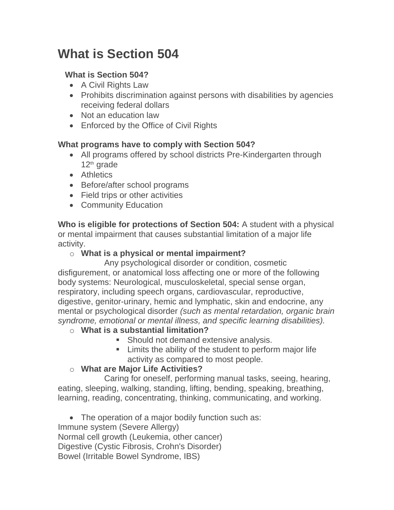# **What is Section 504**

#### **What is Section 504?**

- A Civil Rights Law
- Prohibits discrimination against persons with disabilities by agencies receiving federal dollars
- Not an education law
- Enforced by the Office of Civil Rights

## **What programs have to comply with Section 504?**

- All programs offered by school districts Pre-Kindergarten through 12<sup>th</sup> grade
- Athletics
- Before/after school programs
- Field trips or other activities
- Community Education

**Who is eligible for protections of Section 504:** A student with a physical or mental impairment that causes substantial limitation of a major life activity.

## o **What is a physical or mental impairment?**

Any psychological disorder or condition, cosmetic disfigurement, or anatomical loss affecting one or more of the following body systems: Neurological, musculoskeletal, special sense organ, respiratory, including speech organs, cardiovascular, reproductive, digestive, genitor-urinary, hemic and lymphatic, skin and endocrine, any mental or psychological disorder *(such as mental retardation, organic brain syndrome, emotional or mental illness, and specific learning disabilities).*

## o **What is a substantial limitation?**

- **Should not demand extensive analysis.**
- **EXEC** Limits the ability of the student to perform major life activity as compared to most people.

## o **What are Major Life Activities?**

Caring for oneself, performing manual tasks, seeing, hearing, eating, sleeping, walking, standing, lifting, bending, speaking, breathing, learning, reading, concentrating, thinking, communicating, and working.

• The operation of a major bodily function such as: Immune system (Severe Allergy) Normal cell growth (Leukemia, other cancer) Digestive (Cystic Fibrosis, Crohn's Disorder) Bowel (Irritable Bowel Syndrome, IBS)